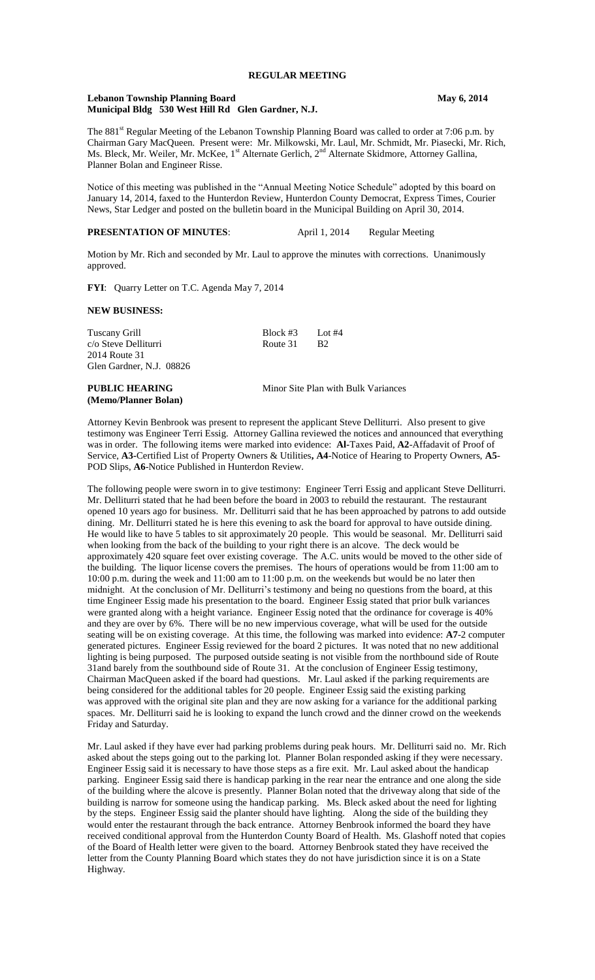# **Lebanon Township Planning Board May 6, 2014 Municipal Bldg 530 West Hill Rd Glen Gardner, N.J.**

The 881<sup>st</sup> Regular Meeting of the Lebanon Township Planning Board was called to order at 7:06 p.m. by Chairman Gary MacQueen. Present were: Mr. Milkowski, Mr. Laul, Mr. Schmidt, Mr. Piasecki, Mr. Rich, Ms. Bleck, Mr. Weiler, Mr. McKee, 1<sup>st</sup> Alternate Gerlich, 2<sup>nd</sup> Alternate Skidmore, Attorney Gallina, Planner Bolan and Engineer Risse.

Notice of this meeting was published in the "Annual Meeting Notice Schedule" adopted by this board on January 14, 2014, faxed to the Hunterdon Review, Hunterdon County Democrat, Express Times, Courier News, Star Ledger and posted on the bulletin board in the Municipal Building on April 30, 2014.

# **PRESENTATION OF MINUTES:** April 1, 2014 Regular Meeting

Motion by Mr. Rich and seconded by Mr. Laul to approve the minutes with corrections. Unanimously approved.

**FYI**: Quarry Letter on T.C. Agenda May 7, 2014

## **NEW BUSINESS:**

**(Memo/Planner Bolan)**

| <b>PUBLIC HEARING</b>    |                 | Minor Site Plan with Bulk Variances |  |  |
|--------------------------|-----------------|-------------------------------------|--|--|
| Glen Gardner, N.J. 08826 |                 |                                     |  |  |
| 2014 Route 31            |                 |                                     |  |  |
| c/o Steve Delliturri     | Route 31        | -R2                                 |  |  |
| Tuscany Grill            | Block #3 Lot #4 |                                     |  |  |

Attorney Kevin Benbrook was present to represent the applicant Steve Delliturri. Also present to give testimony was Engineer Terri Essig. Attorney Gallina reviewed the notices and announced that everything was in order. The following items were marked into evidence: **Al-**Taxes Paid, **A2**-Affadavit of Proof of Service, **A3-**Certified List of Property Owners & Utilities**, A4**-Notice of Hearing to Property Owners, **A5**- POD Slips, **A6**-Notice Published in Hunterdon Review.

The following people were sworn in to give testimony: Engineer Terri Essig and applicant Steve Delliturri. Mr. Delliturri stated that he had been before the board in 2003 to rebuild the restaurant. The restaurant opened 10 years ago for business. Mr. Delliturri said that he has been approached by patrons to add outside dining. Mr. Delliturri stated he is here this evening to ask the board for approval to have outside dining. He would like to have 5 tables to sit approximately 20 people. This would be seasonal. Mr. Delliturri said when looking from the back of the building to your right there is an alcove. The deck would be approximately 420 square feet over existing coverage. The A.C. units would be moved to the other side of the building. The liquor license covers the premises. The hours of operations would be from 11:00 am to 10:00 p.m. during the week and 11:00 am to 11:00 p.m. on the weekends but would be no later then midnight. At the conclusion of Mr. Delliturri's testimony and being no questions from the board, at this time Engineer Essig made his presentation to the board. Engineer Essig stated that prior bulk variances were granted along with a height variance. Engineer Essig noted that the ordinance for coverage is 40% and they are over by 6%. There will be no new impervious coverage, what will be used for the outside seating will be on existing coverage. At this time, the following was marked into evidence: **A7**-2 computer generated pictures. Engineer Essig reviewed for the board 2 pictures. It was noted that no new additional lighting is being purposed. The purposed outside seating is not visible from the northbound side of Route 31and barely from the southbound side of Route 31. At the conclusion of Engineer Essig testimony, Chairman MacQueen asked if the board had questions. Mr. Laul asked if the parking requirements are being considered for the additional tables for 20 people. Engineer Essig said the existing parking was approved with the original site plan and they are now asking for a variance for the additional parking spaces. Mr. Delliturri said he is looking to expand the lunch crowd and the dinner crowd on the weekends Friday and Saturday.

Mr. Laul asked if they have ever had parking problems during peak hours. Mr. Delliturri said no. Mr. Rich asked about the steps going out to the parking lot. Planner Bolan responded asking if they were necessary. Engineer Essig said it is necessary to have those steps as a fire exit. Mr. Laul asked about the handicap parking. Engineer Essig said there is handicap parking in the rear near the entrance and one along the side of the building where the alcove is presently. Planner Bolan noted that the driveway along that side of the building is narrow for someone using the handicap parking. Ms. Bleck asked about the need for lighting by the steps. Engineer Essig said the planter should have lighting. Along the side of the building they would enter the restaurant through the back entrance. Attorney Benbrook informed the board they have received conditional approval from the Hunterdon County Board of Health. Ms. Glashoff noted that copies of the Board of Health letter were given to the board. Attorney Benbrook stated they have received the letter from the County Planning Board which states they do not have jurisdiction since it is on a State Highway.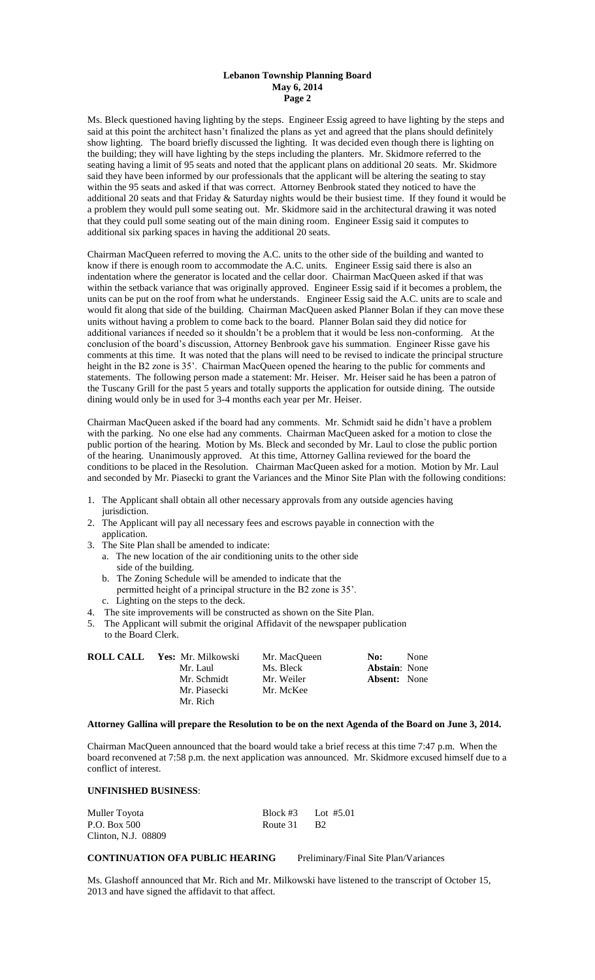Ms. Bleck questioned having lighting by the steps. Engineer Essig agreed to have lighting by the steps and said at this point the architect hasn't finalized the plans as yet and agreed that the plans should definitely show lighting. The board briefly discussed the lighting. It was decided even though there is lighting on the building; they will have lighting by the steps including the planters. Mr. Skidmore referred to the seating having a limit of 95 seats and noted that the applicant plans on additional 20 seats. Mr. Skidmore said they have been informed by our professionals that the applicant will be altering the seating to stay within the 95 seats and asked if that was correct. Attorney Benbrook stated they noticed to have the additional 20 seats and that Friday & Saturday nights would be their busiest time. If they found it would be a problem they would pull some seating out. Mr. Skidmore said in the architectural drawing it was noted that they could pull some seating out of the main dining room. Engineer Essig said it computes to additional six parking spaces in having the additional 20 seats.

Chairman MacQueen referred to moving the A.C. units to the other side of the building and wanted to know if there is enough room to accommodate the A.C. units. Engineer Essig said there is also an indentation where the generator is located and the cellar door. Chairman MacQueen asked if that was within the setback variance that was originally approved. Engineer Essig said if it becomes a problem, the units can be put on the roof from what he understands. Engineer Essig said the A.C. units are to scale and would fit along that side of the building. Chairman MacQueen asked Planner Bolan if they can move these units without having a problem to come back to the board. Planner Bolan said they did notice for additional variances if needed so it shouldn't be a problem that it would be less non-conforming. At the conclusion of the board's discussion, Attorney Benbrook gave his summation. Engineer Risse gave his comments at this time. It was noted that the plans will need to be revised to indicate the principal structure height in the B2 zone is 35'. Chairman MacQueen opened the hearing to the public for comments and statements. The following person made a statement: Mr. Heiser. Mr. Heiser said he has been a patron of the Tuscany Grill for the past 5 years and totally supports the application for outside dining. The outside dining would only be in used for 3-4 months each year per Mr. Heiser.

Chairman MacQueen asked if the board had any comments. Mr. Schmidt said he didn't have a problem with the parking. No one else had any comments. Chairman MacQueen asked for a motion to close the public portion of the hearing. Motion by Ms. Bleck and seconded by Mr. Laul to close the public portion of the hearing. Unanimously approved. At this time, Attorney Gallina reviewed for the board the conditions to be placed in the Resolution. Chairman MacQueen asked for a motion. Motion by Mr. Laul and seconded by Mr. Piasecki to grant the Variances and the Minor Site Plan with the following conditions:

- 1. The Applicant shall obtain all other necessary approvals from any outside agencies having jurisdiction.
- 2. The Applicant will pay all necessary fees and escrows payable in connection with the application.
- 3. The Site Plan shall be amended to indicate:
	- a. The new location of the air conditioning units to the other side side of the building.
	- b. The Zoning Schedule will be amended to indicate that the permitted height of a principal structure in the B2 zone is 35'.
	- c. Lighting on the steps to the deck.
- 4. The site improvements will be constructed as shown on the Site Plan.
- 5. The Applicant will submit the original Affidavit of the newspaper publication to the Board Clerk.

| ROLL CALL | Yes: Mr. Milkowski | Mr. MacOueen | No:<br>None          |
|-----------|--------------------|--------------|----------------------|
|           | Mr. Laul           | Ms. Bleck    | <b>Abstain:</b> None |
|           | Mr. Schmidt        | Mr. Weiler   | <b>Absent:</b> None  |
|           | Mr. Piasecki       | Mr. McKee    |                      |
|           | Mr. Rich           |              |                      |

## **Attorney Gallina will prepare the Resolution to be on the next Agenda of the Board on June 3, 2014.**

Chairman MacQueen announced that the board would take a brief recess at this time 7:47 p.m. When the board reconvened at 7:58 p.m. the next application was announced. Mr. Skidmore excused himself due to a conflict of interest.

## **UNFINISHED BUSINESS**:

| Muller Toyota       |             | Block #3 Lot #5.01 |
|---------------------|-------------|--------------------|
| P.O. Box 500        | Route 31 B2 |                    |
| Clinton, N.J. 08809 |             |                    |

# **CONTINUATION OFA PUBLIC HEARING** Preliminary/Final Site Plan/Variances

Ms. Glashoff announced that Mr. Rich and Mr. Milkowski have listened to the transcript of October 15, 2013 and have signed the affidavit to that affect.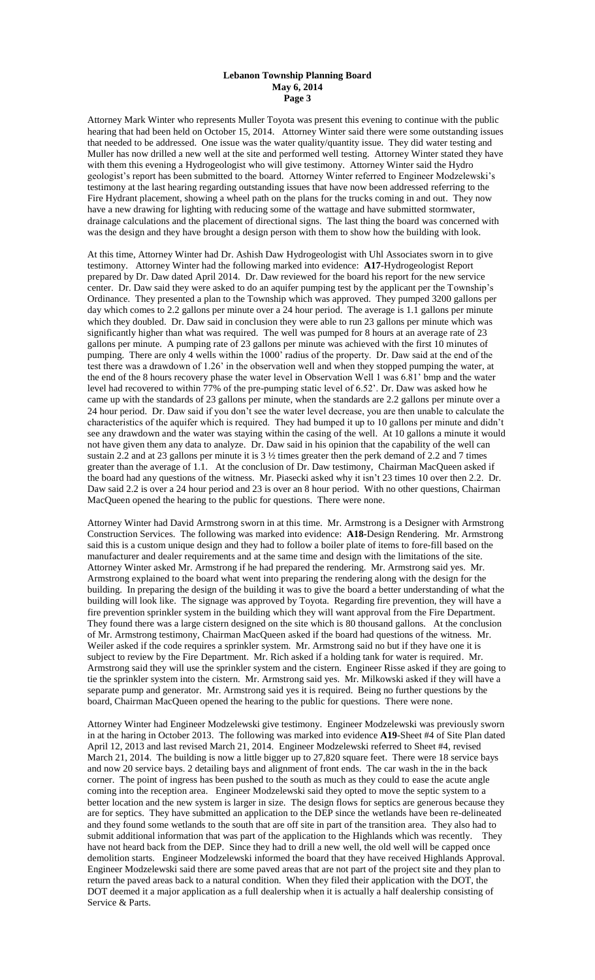Attorney Mark Winter who represents Muller Toyota was present this evening to continue with the public hearing that had been held on October 15, 2014. Attorney Winter said there were some outstanding issues that needed to be addressed. One issue was the water quality/quantity issue. They did water testing and Muller has now drilled a new well at the site and performed well testing. Attorney Winter stated they have with them this evening a Hydrogeologist who will give testimony. Attorney Winter said the Hydro geologist's report has been submitted to the board. Attorney Winter referred to Engineer Modzelewski's testimony at the last hearing regarding outstanding issues that have now been addressed referring to the Fire Hydrant placement, showing a wheel path on the plans for the trucks coming in and out. They now have a new drawing for lighting with reducing some of the wattage and have submitted stormwater, drainage calculations and the placement of directional signs. The last thing the board was concerned with was the design and they have brought a design person with them to show how the building with look.

At this time, Attorney Winter had Dr. Ashish Daw Hydrogeologist with Uhl Associates sworn in to give testimony. Attorney Winter had the following marked into evidence: **A17**-Hydrogeologist Report prepared by Dr. Daw dated April 2014. Dr. Daw reviewed for the board his report for the new service center. Dr. Daw said they were asked to do an aquifer pumping test by the applicant per the Township's Ordinance. They presented a plan to the Township which was approved. They pumped 3200 gallons per day which comes to 2.2 gallons per minute over a 24 hour period. The average is 1.1 gallons per minute which they doubled. Dr. Daw said in conclusion they were able to run 23 gallons per minute which was significantly higher than what was required. The well was pumped for 8 hours at an average rate of 23 gallons per minute. A pumping rate of 23 gallons per minute was achieved with the first 10 minutes of pumping. There are only 4 wells within the 1000' radius of the property. Dr. Daw said at the end of the test there was a drawdown of 1.26' in the observation well and when they stopped pumping the water, at the end of the 8 hours recovery phase the water level in Observation Well 1 was 6.81' bmp and the water level had recovered to within 77% of the pre-pumping static level of 6.52'. Dr. Daw was asked how he came up with the standards of 23 gallons per minute, when the standards are 2.2 gallons per minute over a 24 hour period. Dr. Daw said if you don't see the water level decrease, you are then unable to calculate the characteristics of the aquifer which is required. They had bumped it up to 10 gallons per minute and didn't see any drawdown and the water was staying within the casing of the well. At 10 gallons a minute it would not have given them any data to analyze. Dr. Daw said in his opinion that the capability of the well can sustain 2.2 and at 23 gallons per minute it is 3 ½ times greater then the perk demand of 2.2 and 7 times greater than the average of 1.1. At the conclusion of Dr. Daw testimony, Chairman MacQueen asked if the board had any questions of the witness. Mr. Piasecki asked why it isn't 23 times 10 over then 2.2. Dr. Daw said 2.2 is over a 24 hour period and 23 is over an 8 hour period. With no other questions, Chairman MacQueen opened the hearing to the public for questions. There were none.

Attorney Winter had David Armstrong sworn in at this time. Mr. Armstrong is a Designer with Armstrong Construction Services. The following was marked into evidence: **A18-**Design Rendering. Mr. Armstrong said this is a custom unique design and they had to follow a boiler plate of items to fore-fill based on the manufacturer and dealer requirements and at the same time and design with the limitations of the site. Attorney Winter asked Mr. Armstrong if he had prepared the rendering. Mr. Armstrong said yes. Mr. Armstrong explained to the board what went into preparing the rendering along with the design for the building. In preparing the design of the building it was to give the board a better understanding of what the building will look like. The signage was approved by Toyota. Regarding fire prevention, they will have a fire prevention sprinkler system in the building which they will want approval from the Fire Department. They found there was a large cistern designed on the site which is 80 thousand gallons. At the conclusion of Mr. Armstrong testimony, Chairman MacQueen asked if the board had questions of the witness. Mr. Weiler asked if the code requires a sprinkler system. Mr. Armstrong said no but if they have one it is subject to review by the Fire Department. Mr. Rich asked if a holding tank for water is required. Mr. Armstrong said they will use the sprinkler system and the cistern. Engineer Risse asked if they are going to tie the sprinkler system into the cistern. Mr. Armstrong said yes. Mr. Milkowski asked if they will have a separate pump and generator. Mr. Armstrong said yes it is required. Being no further questions by the board, Chairman MacQueen opened the hearing to the public for questions. There were none.

Attorney Winter had Engineer Modzelewski give testimony. Engineer Modzelewski was previously sworn in at the haring in October 2013. The following was marked into evidence **A19**-Sheet #4 of Site Plan dated April 12, 2013 and last revised March 21, 2014. Engineer Modzelewski referred to Sheet #4, revised March 21, 2014. The building is now a little bigger up to 27,820 square feet. There were 18 service bays and now 20 service bays. 2 detailing bays and alignment of front ends. The car wash in the in the back corner. The point of ingress has been pushed to the south as much as they could to ease the acute angle coming into the reception area. Engineer Modzelewski said they opted to move the septic system to a better location and the new system is larger in size. The design flows for septics are generous because they are for septics. They have submitted an application to the DEP since the wetlands have been re-delineated and they found some wetlands to the south that are off site in part of the transition area. They also had to submit additional information that was part of the application to the Highlands which was recently. They have not heard back from the DEP. Since they had to drill a new well, the old well will be capped once demolition starts. Engineer Modzelewski informed the board that they have received Highlands Approval. Engineer Modzelewski said there are some paved areas that are not part of the project site and they plan to return the paved areas back to a natural condition. When they filed their application with the DOT, the DOT deemed it a major application as a full dealership when it is actually a half dealership consisting of Service & Parts.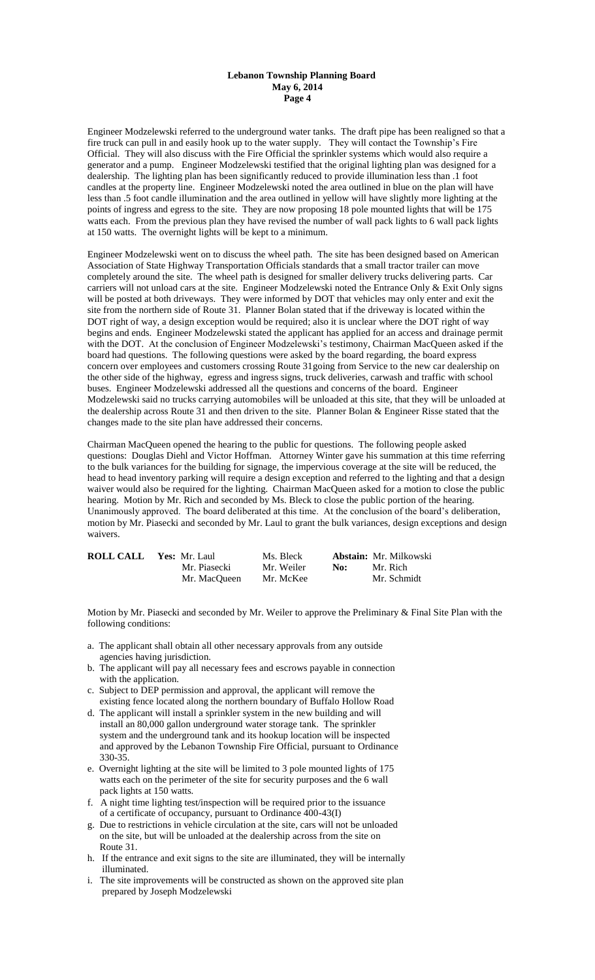Engineer Modzelewski referred to the underground water tanks. The draft pipe has been realigned so that a fire truck can pull in and easily hook up to the water supply. They will contact the Township's Fire Official. They will also discuss with the Fire Official the sprinkler systems which would also require a generator and a pump. Engineer Modzelewski testified that the original lighting plan was designed for a dealership. The lighting plan has been significantly reduced to provide illumination less than .1 foot candles at the property line. Engineer Modzelewski noted the area outlined in blue on the plan will have less than .5 foot candle illumination and the area outlined in yellow will have slightly more lighting at the points of ingress and egress to the site. They are now proposing 18 pole mounted lights that will be 175 watts each. From the previous plan they have revised the number of wall pack lights to 6 wall pack lights at 150 watts. The overnight lights will be kept to a minimum.

Engineer Modzelewski went on to discuss the wheel path. The site has been designed based on American Association of State Highway Transportation Officials standards that a small tractor trailer can move completely around the site. The wheel path is designed for smaller delivery trucks delivering parts. Car carriers will not unload cars at the site. Engineer Modzelewski noted the Entrance Only & Exit Only signs will be posted at both driveways. They were informed by DOT that vehicles may only enter and exit the site from the northern side of Route 31. Planner Bolan stated that if the driveway is located within the DOT right of way, a design exception would be required; also it is unclear where the DOT right of way begins and ends. Engineer Modzelewski stated the applicant has applied for an access and drainage permit with the DOT. At the conclusion of Engineer Modzelewski's testimony, Chairman MacQueen asked if the board had questions. The following questions were asked by the board regarding, the board express concern over employees and customers crossing Route 31going from Service to the new car dealership on the other side of the highway, egress and ingress signs, truck deliveries, carwash and traffic with school buses. Engineer Modzelewski addressed all the questions and concerns of the board. Engineer Modzelewski said no trucks carrying automobiles will be unloaded at this site, that they will be unloaded at the dealership across Route 31 and then driven to the site. Planner Bolan & Engineer Risse stated that the changes made to the site plan have addressed their concerns.

Chairman MacQueen opened the hearing to the public for questions. The following people asked questions: Douglas Diehl and Victor Hoffman. Attorney Winter gave his summation at this time referring to the bulk variances for the building for signage, the impervious coverage at the site will be reduced, the head to head inventory parking will require a design exception and referred to the lighting and that a design waiver would also be required for the lighting. Chairman MacQueen asked for a motion to close the public hearing. Motion by Mr. Rich and seconded by Ms. Bleck to close the public portion of the hearing. Unanimously approved. The board deliberated at this time. At the conclusion of the board's deliberation, motion by Mr. Piasecki and seconded by Mr. Laul to grant the bulk variances, design exceptions and design waivers.

| <b>ROLL CALL</b> | Yes: Mr. Laul | Ms. Bleck  |     | <b>Abstain:</b> Mr. Milkowski |
|------------------|---------------|------------|-----|-------------------------------|
|                  | Mr. Piasecki  | Mr. Weiler | No: | Mr. Rich                      |
|                  | Mr. MacOueen  | Mr. McKee  |     | Mr. Schmidt                   |

Motion by Mr. Piasecki and seconded by Mr. Weiler to approve the Preliminary & Final Site Plan with the following conditions:

- a. The applicant shall obtain all other necessary approvals from any outside agencies having jurisdiction.
- b. The applicant will pay all necessary fees and escrows payable in connection with the application.
- c. Subject to DEP permission and approval, the applicant will remove the existing fence located along the northern boundary of Buffalo Hollow Road
- d. The applicant will install a sprinkler system in the new building and will install an 80,000 gallon underground water storage tank. The sprinkler system and the underground tank and its hookup location will be inspected and approved by the Lebanon Township Fire Official, pursuant to Ordinance 330-35.
- e. Overnight lighting at the site will be limited to 3 pole mounted lights of 175 watts each on the perimeter of the site for security purposes and the 6 wall pack lights at 150 watts.
- f. A night time lighting test/inspection will be required prior to the issuance of a certificate of occupancy, pursuant to Ordinance 400-43(I)
- g. Due to restrictions in vehicle circulation at the site, cars will not be unloaded on the site, but will be unloaded at the dealership across from the site on Route 31.
- h. If the entrance and exit signs to the site are illuminated, they will be internally illuminated.
- i. The site improvements will be constructed as shown on the approved site plan prepared by Joseph Modzelewski